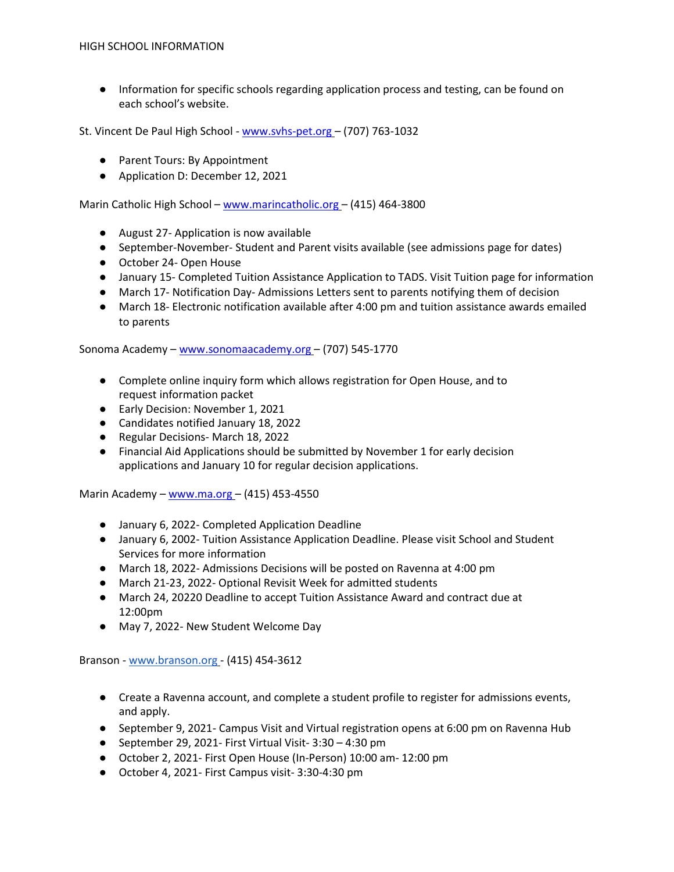● Information for specific schools regarding application process and testing, can be found on each school's website.

St. Vincent De Paul High School - [www.svhs-pet.org](http://www.svhs-pet.org/) – (707) 763-1032

- Parent Tours: By Appointment
- Application D: December 12, 2021

Marin Catholic High School – [www.marincatholic.org](http://www.marincatholic.org/) – (415) 464-3800

- August 27- Application is now available
- September-November- Student and Parent visits available (see admissions page for dates)
- October 24- Open House
- January 15- Completed Tuition Assistance Application to TADS. Visit Tuition page for information
- March 17- Notification Day- Admissions Letters sent to parents notifying them of decision
- March 18- Electronic notification available after 4:00 pm and tuition assistance awards emailed to parents

Sonoma Academy – [www.sonomaacademy.org](http://www.sonomaacademy.org/) – (707) 545-1770

- Complete online inquiry form which allows registration for Open House, and to request information packet
- Early Decision: November 1, 2021
- Candidates notified January 18, 2022
- Regular Decisions- March 18, 2022
- Financial Aid Applications should be submitted by November 1 for early decision applications and January 10 for regular decision applications.

Marin Academy – [www.ma.org](http://www.ma.org/) – (415) 453-4550

- January 6, 2022- Completed Application Deadline
- January 6, 2002- Tuition Assistance Application Deadline. Please visit School and Student Services for more information
- March 18, 2022- Admissions Decisions will be posted on Ravenna at 4:00 pm
- March 21-23, 2022- Optional Revisit Week for admitted students
- March 24, 20220 Deadline to accept Tuition Assistance Award and contract due at 12:00pm
- May 7, 2022- New Student Welcome Day

Branson - [www.branson.org](http://www.branson.org/) - (415) 454-3612

- Create a Ravenna account, and complete a student profile to register for admissions events, and apply.
- September 9, 2021- Campus Visit and Virtual registration opens at 6:00 pm on Ravenna Hub
- September 29, 2021- First Virtual Visit- 3:30 4:30 pm
- October 2, 2021- First Open House (In-Person) 10:00 am- 12:00 pm
- October 4, 2021- First Campus visit- 3:30-4:30 pm